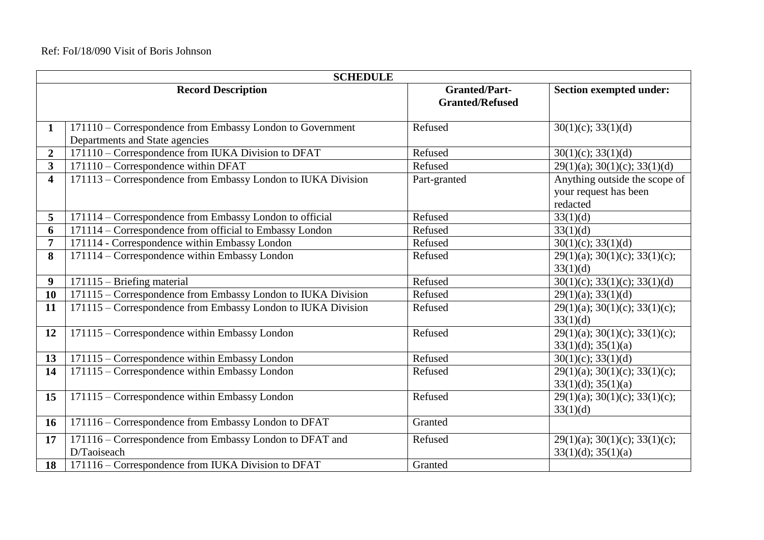| <b>SCHEDULE</b>         |                                                                                             |                                                |                                                                    |  |
|-------------------------|---------------------------------------------------------------------------------------------|------------------------------------------------|--------------------------------------------------------------------|--|
|                         | <b>Record Description</b>                                                                   | <b>Granted/Part-</b><br><b>Granted/Refused</b> | Section exempted under:                                            |  |
| 1                       | 171110 - Correspondence from Embassy London to Government<br>Departments and State agencies | Refused                                        | $30(1)(c)$ ; $33(1)(d)$                                            |  |
| $\overline{2}$          | 171110 – Correspondence from IUKA Division to DFAT                                          | Refused                                        | $30(1)(c)$ ; $33(1)(d)$                                            |  |
| $\overline{\mathbf{3}}$ | 171110 – Correspondence within DFAT                                                         | Refused                                        | $29(1)(a)$ ; 30(1)(c); 33(1)(d)                                    |  |
| $\overline{\mathbf{4}}$ | 171113 – Correspondence from Embassy London to IUKA Division                                | Part-granted                                   | Anything outside the scope of<br>your request has been<br>redacted |  |
| 5                       | 171114 – Correspondence from Embassy London to official                                     | Refused                                        | 33(1)(d)                                                           |  |
| 6                       | 171114 – Correspondence from official to Embassy London                                     | Refused                                        | 33(1)(d)                                                           |  |
| 7                       | 171114 - Correspondence within Embassy London                                               | Refused                                        | $30(1)(c)$ ; $33(1)(d)$                                            |  |
| 8                       | 171114 – Correspondence within Embassy London                                               | Refused                                        | $29(1)(a)$ ; 30(1)(c); 33(1)(c);<br>33(1)(d)                       |  |
| 9                       | 171115 – Briefing material                                                                  | Refused                                        | $30(1)(c)$ ; $33(1)(c)$ ; $33(1)(d)$                               |  |
| 10                      | 171115 - Correspondence from Embassy London to IUKA Division                                | Refused                                        | 29(1)(a); 33(1)(d)                                                 |  |
| 11                      | 171115 - Correspondence from Embassy London to IUKA Division                                | Refused                                        | $29(1)(a)$ ; 30(1)(c); 33(1)(c);<br>33(1)(d)                       |  |
| 12                      | 171115 – Correspondence within Embassy London                                               | Refused                                        | $29(1)(a)$ ; 30(1)(c); 33(1)(c);<br>33(1)(d); 35(1)(a)             |  |
| 13                      | 171115 - Correspondence within Embassy London                                               | Refused                                        | $30(1)(c)$ ; $33(1)(d)$                                            |  |
| 14                      | 171115 - Correspondence within Embassy London                                               | Refused                                        | $29(1)(a)$ ; 30(1)(c); 33(1)(c);<br>33(1)(d); 35(1)(a)             |  |
| 15                      | 171115 - Correspondence within Embassy London                                               | Refused                                        | $29(1)(a)$ ; 30(1)(c); 33(1)(c);<br>33(1)(d)                       |  |
| <b>16</b>               | 171116 - Correspondence from Embassy London to DFAT                                         | Granted                                        |                                                                    |  |
| 17                      | 171116 – Correspondence from Embassy London to DFAT and<br>D/Taoiseach                      | Refused                                        | $29(1)(a)$ ; 30(1)(c); 33(1)(c);<br>33(1)(d); 35(1)(a)             |  |
| 18                      | 171116 – Correspondence from IUKA Division to DFAT                                          | Granted                                        |                                                                    |  |